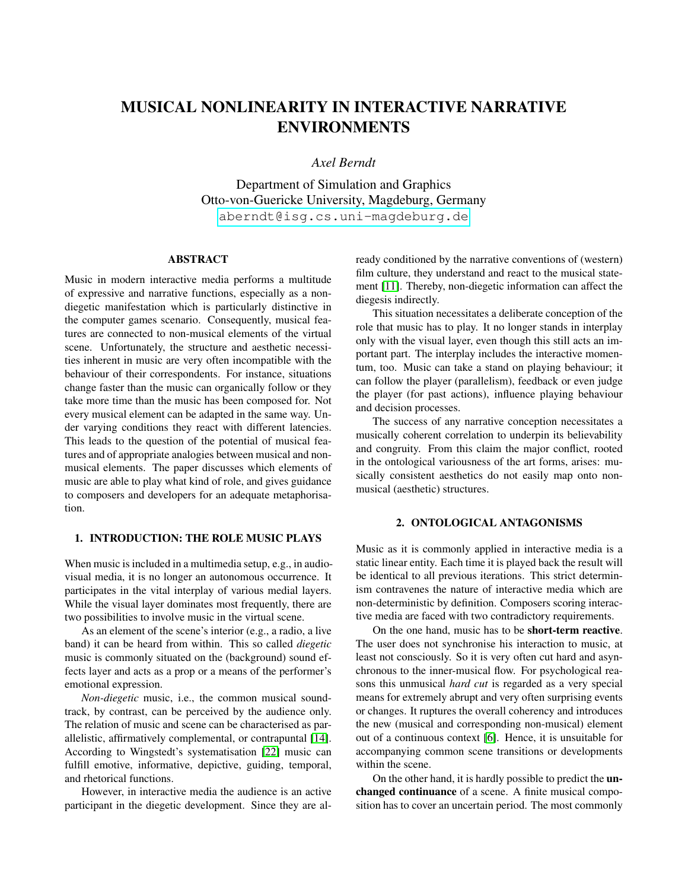# MUSICAL NONLINEARITY IN INTERACTIVE NARRATIVE ENVIRONMENTS

# *Axel Berndt*

Department of Simulation and Graphics Otto-von-Guericke University, Magdeburg, Germany [aberndt@isg.cs.uni-magdeburg.de](mailto:aberndt@isg.cs.uni-magdeburg.de)

## ABSTRACT

Music in modern interactive media performs a multitude of expressive and narrative functions, especially as a nondiegetic manifestation which is particularly distinctive in the computer games scenario. Consequently, musical features are connected to non-musical elements of the virtual scene. Unfortunately, the structure and aesthetic necessities inherent in music are very often incompatible with the behaviour of their correspondents. For instance, situations change faster than the music can organically follow or they take more time than the music has been composed for. Not every musical element can be adapted in the same way. Under varying conditions they react with different latencies. This leads to the question of the potential of musical features and of appropriate analogies between musical and nonmusical elements. The paper discusses which elements of music are able to play what kind of role, and gives guidance to composers and developers for an adequate metaphorisation.

# 1. INTRODUCTION: THE ROLE MUSIC PLAYS

When music is included in a multimedia setup, e.g., in audiovisual media, it is no longer an autonomous occurrence. It participates in the vital interplay of various medial layers. While the visual layer dominates most frequently, there are two possibilities to involve music in the virtual scene.

As an element of the scene's interior (e.g., a radio, a live band) it can be heard from within. This so called *diegetic* music is commonly situated on the (background) sound effects layer and acts as a prop or a means of the performer's emotional expression.

*Non-diegetic* music, i.e., the common musical soundtrack, by contrast, can be perceived by the audience only. The relation of music and scene can be characterised as parallelistic, affirmatively complemental, or contrapuntal [\[14\]](#page-3-0). According to Wingstedt's systematisation [\[22\]](#page-3-1) music can fulfill emotive, informative, depictive, guiding, temporal, and rhetorical functions.

However, in interactive media the audience is an active participant in the diegetic development. Since they are already conditioned by the narrative conventions of (western) film culture, they understand and react to the musical statement [\[11\]](#page-3-2). Thereby, non-diegetic information can affect the diegesis indirectly.

This situation necessitates a deliberate conception of the role that music has to play. It no longer stands in interplay only with the visual layer, even though this still acts an important part. The interplay includes the interactive momentum, too. Music can take a stand on playing behaviour; it can follow the player (parallelism), feedback or even judge the player (for past actions), influence playing behaviour and decision processes.

The success of any narrative conception necessitates a musically coherent correlation to underpin its believability and congruity. From this claim the major conflict, rooted in the ontological variousness of the art forms, arises: musically consistent aesthetics do not easily map onto nonmusical (aesthetic) structures.

## 2. ONTOLOGICAL ANTAGONISMS

<span id="page-0-0"></span>Music as it is commonly applied in interactive media is a static linear entity. Each time it is played back the result will be identical to all previous iterations. This strict determinism contravenes the nature of interactive media which are non-deterministic by definition. Composers scoring interactive media are faced with two contradictory requirements.

On the one hand, music has to be short-term reactive. The user does not synchronise his interaction to music, at least not consciously. So it is very often cut hard and asynchronous to the inner-musical flow. For psychological reasons this unmusical *hard cut* is regarded as a very special means for extremely abrupt and very often surprising events or changes. It ruptures the overall coherency and introduces the new (musical and corresponding non-musical) element out of a continuous context [\[6\]](#page-3-3). Hence, it is unsuitable for accompanying common scene transitions or developments within the scene.

On the other hand, it is hardly possible to predict the unchanged continuance of a scene. A finite musical composition has to cover an uncertain period. The most commonly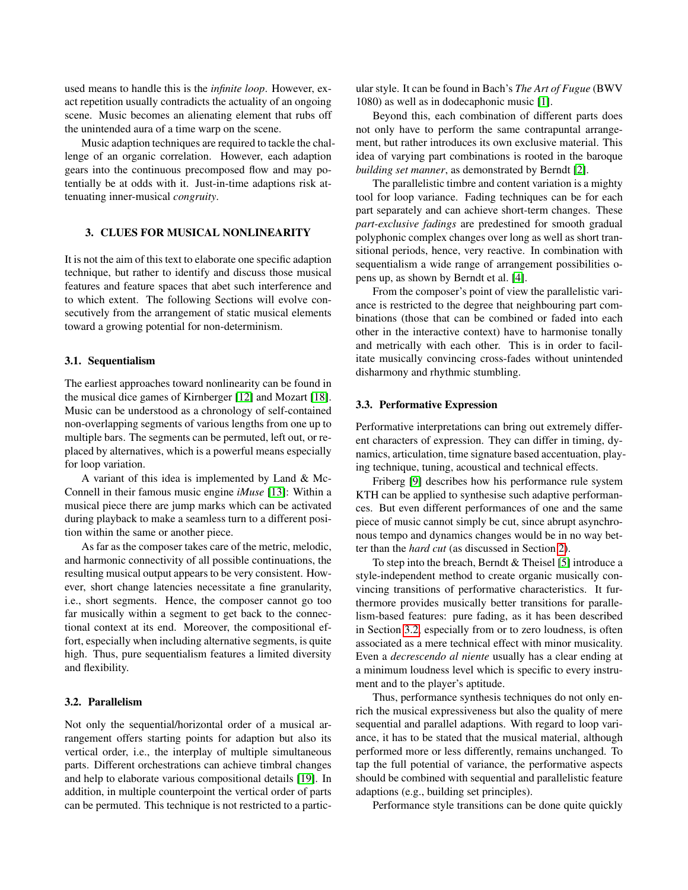used means to handle this is the *infinite loop*. However, exact repetition usually contradicts the actuality of an ongoing scene. Music becomes an alienating element that rubs off the unintended aura of a time warp on the scene.

Music adaption techniques are required to tackle the challenge of an organic correlation. However, each adaption gears into the continuous precomposed flow and may potentially be at odds with it. Just-in-time adaptions risk attenuating inner-musical *congruity*.

## 3. CLUES FOR MUSICAL NONLINEARITY

It is not the aim of this text to elaborate one specific adaption technique, but rather to identify and discuss those musical features and feature spaces that abet such interference and to which extent. The following Sections will evolve consecutively from the arrangement of static musical elements toward a growing potential for non-determinism.

#### 3.1. Sequentialism

The earliest approaches toward nonlinearity can be found in the musical dice games of Kirnberger [\[12\]](#page-3-4) and Mozart [\[18\]](#page-3-5). Music can be understood as a chronology of self-contained non-overlapping segments of various lengths from one up to multiple bars. The segments can be permuted, left out, or replaced by alternatives, which is a powerful means especially for loop variation.

A variant of this idea is implemented by Land & Mc-Connell in their famous music engine *iMuse* [\[13\]](#page-3-6): Within a musical piece there are jump marks which can be activated during playback to make a seamless turn to a different position within the same or another piece.

As far as the composer takes care of the metric, melodic, and harmonic connectivity of all possible continuations, the resulting musical output appears to be very consistent. However, short change latencies necessitate a fine granularity, i.e., short segments. Hence, the composer cannot go too far musically within a segment to get back to the connectional context at its end. Moreover, the compositional effort, especially when including alternative segments, is quite high. Thus, pure sequentialism features a limited diversity and flexibility.

### <span id="page-1-0"></span>3.2. Parallelism

Not only the sequential/horizontal order of a musical arrangement offers starting points for adaption but also its vertical order, i.e., the interplay of multiple simultaneous parts. Different orchestrations can achieve timbral changes and help to elaborate various compositional details [\[19\]](#page-3-7). In addition, in multiple counterpoint the vertical order of parts can be permuted. This technique is not restricted to a particular style. It can be found in Bach's *The Art of Fugue* (BWV 1080) as well as in dodecaphonic music [\[1\]](#page-3-8).

Beyond this, each combination of different parts does not only have to perform the same contrapuntal arrangement, but rather introduces its own exclusive material. This idea of varying part combinations is rooted in the baroque *building set manner*, as demonstrated by Berndt [\[2\]](#page-3-9).

The parallelistic timbre and content variation is a mighty tool for loop variance. Fading techniques can be for each part separately and can achieve short-term changes. These *part-exclusive fadings* are predestined for smooth gradual polyphonic complex changes over long as well as short transitional periods, hence, very reactive. In combination with sequentialism a wide range of arrangement possibilities opens up, as shown by Berndt et al. [\[4\]](#page-3-10).

From the composer's point of view the parallelistic variance is restricted to the degree that neighbouring part combinations (those that can be combined or faded into each other in the interactive context) have to harmonise tonally and metrically with each other. This is in order to facilitate musically convincing cross-fades without unintended disharmony and rhythmic stumbling.

#### 3.3. Performative Expression

Performative interpretations can bring out extremely different characters of expression. They can differ in timing, dynamics, articulation, time signature based accentuation, playing technique, tuning, acoustical and technical effects.

Friberg [\[9\]](#page-3-11) describes how his performance rule system KTH can be applied to synthesise such adaptive performances. But even different performances of one and the same piece of music cannot simply be cut, since abrupt asynchronous tempo and dynamics changes would be in no way better than the *hard cut* (as discussed in Section [2\)](#page-0-0).

To step into the breach, Berndt & Theisel [\[5\]](#page-3-12) introduce a style-independent method to create organic musically convincing transitions of performative characteristics. It furthermore provides musically better transitions for parallelism-based features: pure fading, as it has been described in Section [3.2,](#page-1-0) especially from or to zero loudness, is often associated as a mere technical effect with minor musicality. Even a *decrescendo al niente* usually has a clear ending at a minimum loudness level which is specific to every instrument and to the player's aptitude.

Thus, performance synthesis techniques do not only enrich the musical expressiveness but also the quality of mere sequential and parallel adaptions. With regard to loop variance, it has to be stated that the musical material, although performed more or less differently, remains unchanged. To tap the full potential of variance, the performative aspects should be combined with sequential and parallelistic feature adaptions (e.g., building set principles).

Performance style transitions can be done quite quickly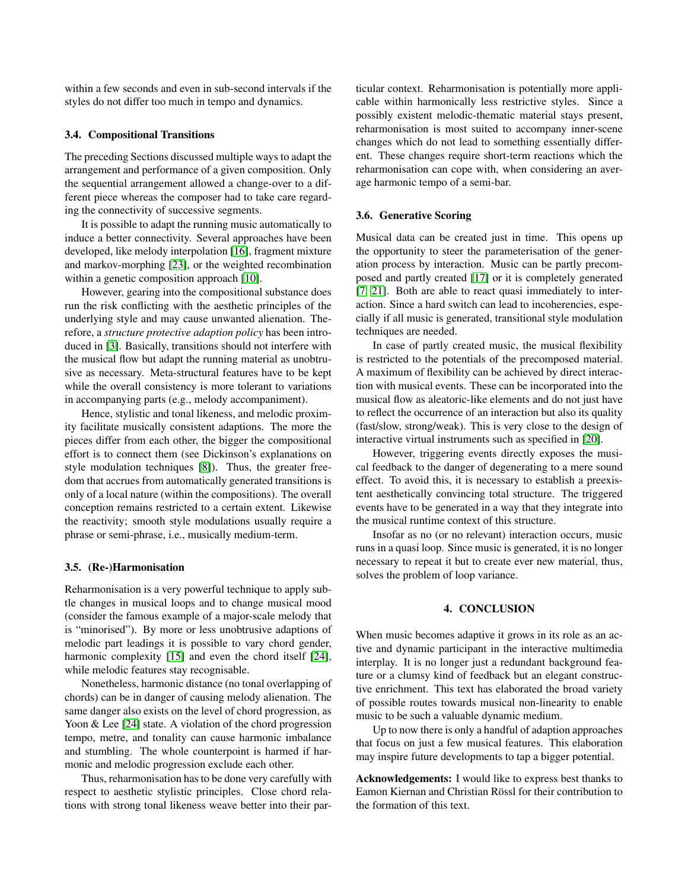within a few seconds and even in sub-second intervals if the styles do not differ too much in tempo and dynamics.

#### 3.4. Compositional Transitions

The preceding Sections discussed multiple ways to adapt the arrangement and performance of a given composition. Only the sequential arrangement allowed a change-over to a different piece whereas the composer had to take care regarding the connectivity of successive segments.

It is possible to adapt the running music automatically to induce a better connectivity. Several approaches have been developed, like melody interpolation [\[16\]](#page-3-13), fragment mixture and markov-morphing [\[23\]](#page-3-14), or the weighted recombination within a genetic composition approach [\[10\]](#page-3-15).

However, gearing into the compositional substance does run the risk conflicting with the aesthetic principles of the underlying style and may cause unwanted alienation. Therefore, a *structure protective adaption policy* has been introduced in [\[3\]](#page-3-16). Basically, transitions should not interfere with the musical flow but adapt the running material as unobtrusive as necessary. Meta-structural features have to be kept while the overall consistency is more tolerant to variations in accompanying parts (e.g., melody accompaniment).

Hence, stylistic and tonal likeness, and melodic proximity facilitate musically consistent adaptions. The more the pieces differ from each other, the bigger the compositional effort is to connect them (see Dickinson's explanations on style modulation techniques [\[8\]](#page-3-17)). Thus, the greater freedom that accrues from automatically generated transitions is only of a local nature (within the compositions). The overall conception remains restricted to a certain extent. Likewise the reactivity; smooth style modulations usually require a phrase or semi-phrase, i.e., musically medium-term.

#### 3.5. (Re-)Harmonisation

Reharmonisation is a very powerful technique to apply subtle changes in musical loops and to change musical mood (consider the famous example of a major-scale melody that is "minorised"). By more or less unobtrusive adaptions of melodic part leadings it is possible to vary chord gender, harmonic complexity [\[15\]](#page-3-18) and even the chord itself [\[24\]](#page-3-19), while melodic features stay recognisable.

Nonetheless, harmonic distance (no tonal overlapping of chords) can be in danger of causing melody alienation. The same danger also exists on the level of chord progression, as Yoon & Lee [\[24\]](#page-3-19) state. A violation of the chord progression tempo, metre, and tonality can cause harmonic imbalance and stumbling. The whole counterpoint is harmed if harmonic and melodic progression exclude each other.

Thus, reharmonisation has to be done very carefully with respect to aesthetic stylistic principles. Close chord relations with strong tonal likeness weave better into their particular context. Reharmonisation is potentially more applicable within harmonically less restrictive styles. Since a possibly existent melodic-thematic material stays present, reharmonisation is most suited to accompany inner-scene changes which do not lead to something essentially different. These changes require short-term reactions which the reharmonisation can cope with, when considering an average harmonic tempo of a semi-bar.

#### 3.6. Generative Scoring

Musical data can be created just in time. This opens up the opportunity to steer the parameterisation of the generation process by interaction. Music can be partly precomposed and partly created [\[17\]](#page-3-20) or it is completely generated [\[7,](#page-3-21) [21\]](#page-3-22). Both are able to react quasi immediately to interaction. Since a hard switch can lead to incoherencies, especially if all music is generated, transitional style modulation techniques are needed.

In case of partly created music, the musical flexibility is restricted to the potentials of the precomposed material. A maximum of flexibility can be achieved by direct interaction with musical events. These can be incorporated into the musical flow as aleatoric-like elements and do not just have to reflect the occurrence of an interaction but also its quality (fast/slow, strong/weak). This is very close to the design of interactive virtual instruments such as specified in [\[20\]](#page-3-23).

However, triggering events directly exposes the musical feedback to the danger of degenerating to a mere sound effect. To avoid this, it is necessary to establish a preexistent aesthetically convincing total structure. The triggered events have to be generated in a way that they integrate into the musical runtime context of this structure.

Insofar as no (or no relevant) interaction occurs, music runs in a quasi loop. Since music is generated, it is no longer necessary to repeat it but to create ever new material, thus, solves the problem of loop variance.

#### 4. CONCLUSION

When music becomes adaptive it grows in its role as an active and dynamic participant in the interactive multimedia interplay. It is no longer just a redundant background feature or a clumsy kind of feedback but an elegant constructive enrichment. This text has elaborated the broad variety of possible routes towards musical non-linearity to enable music to be such a valuable dynamic medium.

Up to now there is only a handful of adaption approaches that focus on just a few musical features. This elaboration may inspire future developments to tap a bigger potential.

Acknowledgements: I would like to express best thanks to Eamon Kiernan and Christian Rössl for their contribution to the formation of this text.